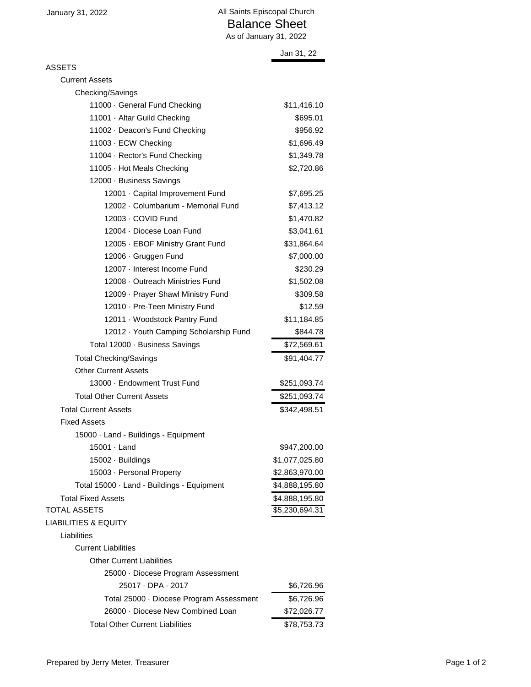|                                            | Jan 31, 22     |
|--------------------------------------------|----------------|
| ASSETS                                     |                |
| <b>Current Assets</b>                      |                |
| Checking/Savings                           |                |
| 11000 · General Fund Checking              | \$11,416.10    |
| 11001 · Altar Guild Checking               | \$695.01       |
| 11002 · Deacon's Fund Checking             | \$956.92       |
| 11003 · ECW Checking                       | \$1,696.49     |
| 11004 · Rector's Fund Checking             | \$1,349.78     |
| 11005 · Hot Meals Checking                 | \$2,720.86     |
| 12000 · Business Savings                   |                |
| 12001 · Capital Improvement Fund           | \$7,695.25     |
| 12002 · Columbarium - Memorial Fund        | \$7,413.12     |
| 12003 - COVID Fund                         | \$1,470.82     |
| 12004 · Diocese Loan Fund                  | \$3,041.61     |
| 12005 · EBOF Ministry Grant Fund           | \$31,864.64    |
| 12006 · Gruggen Fund                       | \$7,000.00     |
| 12007 - Interest Income Fund               | \$230.29       |
| 12008 - Outreach Ministries Fund           | \$1,502.08     |
| 12009 · Prayer Shawl Ministry Fund         | \$309.58       |
| 12010 · Pre-Teen Ministry Fund             | \$12.59        |
| 12011 · Woodstock Pantry Fund              | \$11,184.85    |
| 12012 · Youth Camping Scholarship Fund     | \$844.78       |
| Total 12000 · Business Savings             | \$72,569.61    |
| <b>Total Checking/Savings</b>              | \$91,404.77    |
| <b>Other Current Assets</b>                |                |
| 13000 · Endowment Trust Fund               | \$251,093.74   |
| <b>Total Other Current Assets</b>          | \$251,093.74   |
| <b>Total Current Assets</b>                | \$342,498.51   |
| <b>Fixed Assets</b>                        |                |
| 15000 · Land - Buildings - Equipment       |                |
| $15001 \cdot$ Land                         | \$947,200.00   |
| 15002 · Buildings                          | \$1,077,025.80 |
| 15003 · Personal Property                  | \$2,863,970.00 |
| Total 15000 · Land - Buildings - Equipment | \$4,888,195.80 |
| <b>Total Fixed Assets</b>                  | \$4,888,195.80 |
| <b>TOTAL ASSETS</b>                        | \$5,230,694.31 |
| <b>LIABILITIES &amp; EQUITY</b>            |                |
| Liabilities                                |                |
| <b>Current Liabilities</b>                 |                |
| <b>Other Current Liabilities</b>           |                |
| 25000 · Diocese Program Assessment         |                |
| 25017 · DPA - 2017                         | \$6,726.96     |
| Total 25000 · Diocese Program Assessment   | \$6,726.96     |
| 26000 · Diocese New Combined Loan          | \$72,026.77    |
| <b>Total Other Current Liabilities</b>     | \$78,753.73    |